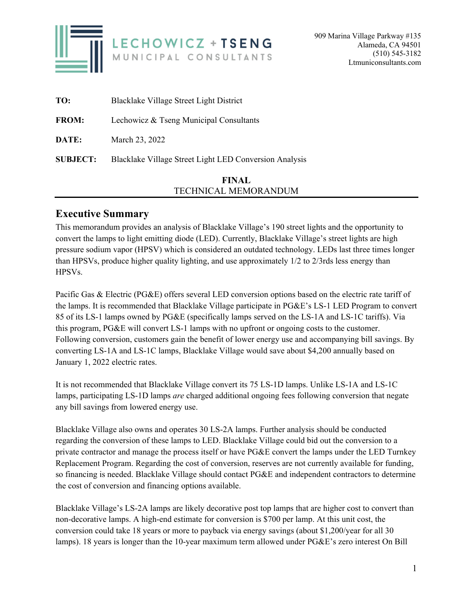

|                 | FINAL                                                  |
|-----------------|--------------------------------------------------------|
| <b>SUBJECT:</b> | Blacklake Village Street Light LED Conversion Analysis |
| DATE:           | March 23, 2022                                         |
| <b>FROM:</b>    | Lechowicz & Tseng Municipal Consultants                |
| TO:             | Blacklake Village Street Light District                |

# TECHNICAL MEMORANDUM

## **Executive Summary**

This memorandum provides an analysis of Blacklake Village's 190 street lights and the opportunity to convert the lamps to light emitting diode (LED). Currently, Blacklake Village's street lights are high pressure sodium vapor (HPSV) which is considered an outdated technology. LEDs last three times longer than HPSVs, produce higher quality lighting, and use approximately 1/2 to 2/3rds less energy than HPSVs.

Pacific Gas & Electric (PG&E) offers several LED conversion options based on the electric rate tariff of the lamps. It is recommended that Blacklake Village participate in PG&E's LS-1 LED Program to convert 85 of its LS-1 lamps owned by PG&E (specifically lamps served on the LS-1A and LS-1C tariffs). Via this program, PG&E will convert LS-1 lamps with no upfront or ongoing costs to the customer. Following conversion, customers gain the benefit of lower energy use and accompanying bill savings. By converting LS-1A and LS-1C lamps, Blacklake Village would save about \$4,200 annually based on January 1, 2022 electric rates.

It is not recommended that Blacklake Village convert its 75 LS-1D lamps. Unlike LS-1A and LS-1C lamps, participating LS-1D lamps *are* charged additional ongoing fees following conversion that negate any bill savings from lowered energy use.

Blacklake Village also owns and operates 30 LS-2A lamps. Further analysis should be conducted regarding the conversion of these lamps to LED. Blacklake Village could bid out the conversion to a private contractor and manage the process itself or have PG&E convert the lamps under the LED Turnkey Replacement Program. Regarding the cost of conversion, reserves are not currently available for funding, so financing is needed. Blacklake Village should contact PG&E and independent contractors to determine the cost of conversion and financing options available.

Blacklake Village's LS-2A lamps are likely decorative post top lamps that are higher cost to convert than non-decorative lamps. A high-end estimate for conversion is \$700 per lamp. At this unit cost, the conversion could take 18 years or more to payback via energy savings (about \$1,200/year for all 30 lamps). 18 years is longer than the 10-year maximum term allowed under PG&E's zero interest On Bill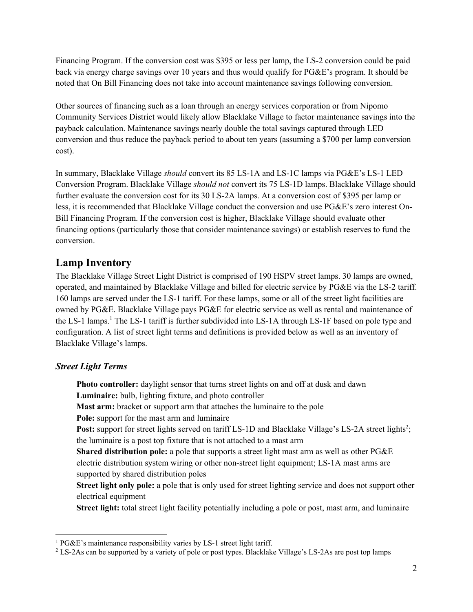Financing Program. If the conversion cost was \$395 or less per lamp, the LS-2 conversion could be paid back via energy charge savings over 10 years and thus would qualify for PG&E's program. It should be noted that On Bill Financing does not take into account maintenance savings following conversion.

Other sources of financing such as a loan through an energy services corporation or from Nipomo Community Services District would likely allow Blacklake Village to factor maintenance savings into the payback calculation. Maintenance savings nearly double the total savings captured through LED conversion and thus reduce the payback period to about ten years (assuming a \$700 per lamp conversion cost).

In summary, Blacklake Village *should* convert its 85 LS-1A and LS-1C lamps via PG&E's LS-1 LED Conversion Program. Blacklake Village *should not* convert its 75 LS-1D lamps. Blacklake Village should further evaluate the conversion cost for its 30 LS-2A lamps. At a conversion cost of \$395 per lamp or less, it is recommended that Blacklake Village conduct the conversion and use PG&E's zero interest On-Bill Financing Program. If the conversion cost is higher, Blacklake Village should evaluate other financing options (particularly those that consider maintenance savings) or establish reserves to fund the conversion.

## **Lamp Inventory**

The Blacklake Village Street Light District is comprised of 190 HSPV street lamps. 30 lamps are owned, operated, and maintained by Blacklake Village and billed for electric service by PG&E via the LS-2 tariff. 160 lamps are served under the LS-1 tariff. For these lamps, some or all of the street light facilities are owned by PG&E. Blacklake Village pays PG&E for electric service as well as rental and maintenance of the LS-1 lamps.<sup>1</sup> The LS-1 tariff is further subdivided into LS-1A through LS-1F based on pole type and configuration. A list of street light terms and definitions is provided below as well as an inventory of Blacklake Village's lamps.

## *Street Light Terms*

**Photo controller:** daylight sensor that turns street lights on and off at dusk and dawn **Luminaire:** bulb, lighting fixture, and photo controller **Mast arm:** bracket or support arm that attaches the luminaire to the pole **Pole:** support for the mast arm and luminaire Post: support for street lights served on tariff LS-1D and Blacklake Village's LS-2A street lights<sup>2</sup>; the luminaire is a post top fixture that is not attached to a mast arm **Shared distribution pole:** a pole that supports a street light mast arm as well as other PG&E electric distribution system wiring or other non-street light equipment; LS-1A mast arms are supported by shared distribution poles **Street light only pole:** a pole that is only used for street lighting service and does not support other electrical equipment **Street light:** total street light facility potentially including a pole or post, mast arm, and luminaire

<sup>&</sup>lt;sup>1</sup> PG&E's maintenance responsibility varies by LS-1 street light tariff.<br><sup>2</sup> LS-2As can be supported by a variety of pole or post types. Blacklake

LS-2As can be supported by a variety of pole or post types. Blacklake Village's LS-2As are post top lamps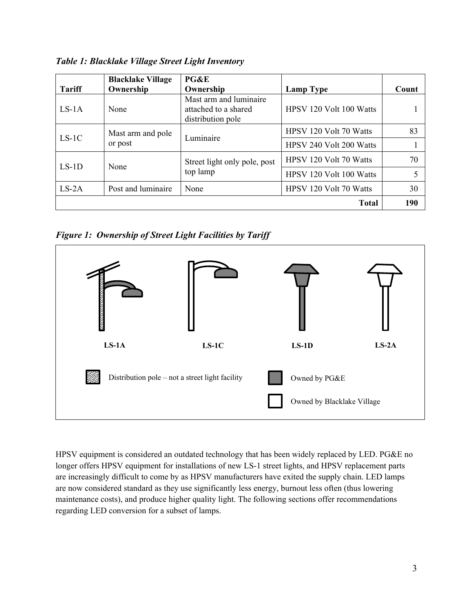*Table 1: Blacklake Village Street Light Inventory*

|               | <b>Blacklake Village</b>     | PG&E                                                                |                               |       |
|---------------|------------------------------|---------------------------------------------------------------------|-------------------------------|-------|
| <b>Tariff</b> | Ownership                    | Ownership                                                           | Lamp Type                     | Count |
| $LS-1A$       | None                         | Mast arm and luminaire<br>attached to a shared<br>distribution pole | HPSV 120 Volt 100 Watts       |       |
| $LS-1C$       | Mast arm and pole<br>or post | Luminaire                                                           | HPSV 120 Volt 70 Watts        | 83    |
|               |                              |                                                                     | HPSV 240 Volt 200 Watts       |       |
| $LS-1D$       | None                         | Street light only pole, post<br>top lamp                            | HPSV 120 Volt 70 Watts        | 70    |
|               |                              |                                                                     | HPSV 120 Volt 100 Watts       |       |
| $LS-2A$       | Post and luminaire           | None                                                                | <b>HPSV 120 Volt 70 Watts</b> | 30    |
|               |                              |                                                                     | <b>Total</b>                  | 190   |

*Figure 1: Ownership of Street Light Facilities by Tariff* 



HPSV equipment is considered an outdated technology that has been widely replaced by LED. PG&E no longer offers HPSV equipment for installations of new LS-1 street lights, and HPSV replacement parts are increasingly difficult to come by as HPSV manufacturers have exited the supply chain. LED lamps are now considered standard as they use significantly less energy, burnout less often (thus lowering maintenance costs), and produce higher quality light. The following sections offer recommendations regarding LED conversion for a subset of lamps.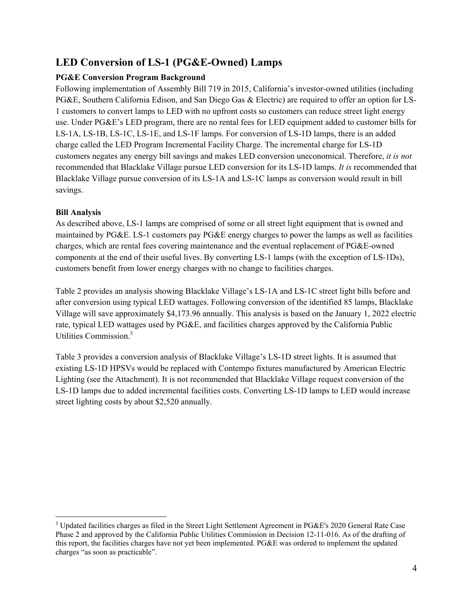# **LED Conversion of LS-1 (PG&E-Owned) Lamps**

### **PG&E Conversion Program Background**

Following implementation of Assembly Bill 719 in 2015, California's investor-owned utilities (including PG&E, Southern California Edison, and San Diego Gas & Electric) are required to offer an option for LS-1 customers to convert lamps to LED with no upfront costs so customers can reduce street light energy use. Under PG&E's LED program, there are no rental fees for LED equipment added to customer bills for LS-1A, LS-1B, LS-1C, LS-1E, and LS-1F lamps. For conversion of LS-1D lamps, there is an added charge called the LED Program Incremental Facility Charge. The incremental charge for LS-1D customers negates any energy bill savings and makes LED conversion uneconomical. Therefore, *it is not* recommended that Blacklake Village pursue LED conversion for its LS-1D lamps. *It is* recommended that Blacklake Village pursue conversion of its LS-1A and LS-1C lamps as conversion would result in bill savings.

### **Bill Analysis**

As described above, LS-1 lamps are comprised of some or all street light equipment that is owned and maintained by PG&E. LS-1 customers pay PG&E energy charges to power the lamps as well as facilities charges, which are rental fees covering maintenance and the eventual replacement of PG&E-owned components at the end of their useful lives. By converting LS-1 lamps (with the exception of LS-1Ds), customers benefit from lower energy charges with no change to facilities charges.

Table 2 provides an analysis showing Blacklake Village's LS-1A and LS-1C street light bills before and after conversion using typical LED wattages. Following conversion of the identified 85 lamps, Blacklake Village will save approximately \$4,173.96 annually. This analysis is based on the January 1, 2022 electric rate, typical LED wattages used by PG&E, and facilities charges approved by the California Public Utilities Commission.<sup>3</sup>

Table 3 provides a conversion analysis of Blacklake Village's LS-1D street lights. It is assumed that existing LS-1D HPSVs would be replaced with Contempo fixtures manufactured by American Electric Lighting (see the Attachment). It is not recommended that Blacklake Village request conversion of the LS-1D lamps due to added incremental facilities costs. Converting LS-1D lamps to LED would increase street lighting costs by about \$2,520 annually.

<sup>&</sup>lt;sup>3</sup> Updated facilities charges as filed in the Street Light Settlement Agreement in PG&E's 2020 General Rate Case Phase 2 and approved by the California Public Utilities Commission in Decision 12-11-016. As of the drafting of this report, the facilities charges have not yet been implemented. PG&E was ordered to implement the updated charges "as soon as practicable".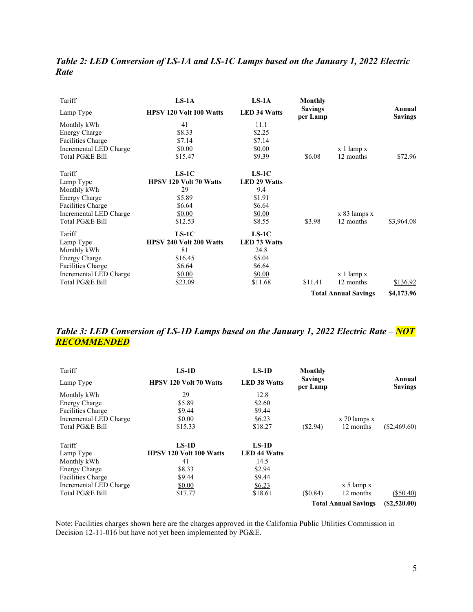| Table 2: LED Conversion of LS-1A and LS-1C Lamps based on the January 1, 2022 Electric |  |
|----------------------------------------------------------------------------------------|--|
| <b>Rate</b>                                                                            |  |

| Tariff                   | $LS-1A$                        | $LS-1A$             | Monthly                     |                |                          |
|--------------------------|--------------------------------|---------------------|-----------------------------|----------------|--------------------------|
| Lamp Type                | <b>HPSV 120 Volt 100 Watts</b> | <b>LED 34 Watts</b> | <b>Savings</b><br>per Lamp  |                | Annual<br><b>Savings</b> |
| Monthly kWh              | 41                             | 11.1                |                             |                |                          |
| <b>Energy Charge</b>     | \$8.33                         | \$2.25              |                             |                |                          |
| <b>Facilities Charge</b> | \$7.14                         | \$7.14              |                             |                |                          |
| Incremental LED Charge   | \$0.00                         | \$0.00              |                             | $x$ 1 lamp $x$ |                          |
| Total PG&E Bill          | \$15.47                        | \$9.39              | \$6.08                      | 12 months      | \$72.96                  |
| Tariff                   | $LS-1C$                        | $LS-1C$             |                             |                |                          |
| Lamp Type                | <b>HPSV 120 Volt 70 Watts</b>  | <b>LED 29 Watts</b> |                             |                |                          |
| Monthly kWh              | 29                             | 9.4                 |                             |                |                          |
| <b>Energy Charge</b>     | \$5.89                         | \$1.91              |                             |                |                          |
| Facilities Charge        | \$6.64                         | \$6.64              |                             |                |                          |
| Incremental LED Charge   | \$0.00                         | \$0.00              |                             | x 83 lamps x   |                          |
| Total PG&E Bill          | \$12.53                        | \$8.55              | \$3.98                      | 12 months      | \$3,964.08               |
| Tariff                   | $LS-1C$                        | $LS-1C$             |                             |                |                          |
| Lamp Type                | HPSV 240 Volt 200 Watts        | <b>LED 73 Watts</b> |                             |                |                          |
| Monthly kWh              | 81                             | 24.8                |                             |                |                          |
| <b>Energy Charge</b>     | \$16.45                        | \$5.04              |                             |                |                          |
| <b>Facilities Charge</b> | \$6.64                         | \$6.64              |                             |                |                          |
| Incremental LED Charge   | \$0.00                         | \$0.00              |                             | $x$ 1 lamp $x$ |                          |
| Total PG&E Bill          | \$23.09                        | \$11.68             | \$11.41                     | 12 months      | \$136.92                 |
|                          |                                |                     | <b>Total Annual Savings</b> |                | \$4,173.96               |

## *Table 3: LED Conversion of LS-1D Lamps based on the January 1, 2022 Electric Rate – NOT RECOMMENDED*

| Tariff                   | $LS-1D$                        | $LS-1D$             | Monthly                    |                             |                          |
|--------------------------|--------------------------------|---------------------|----------------------------|-----------------------------|--------------------------|
| Lamp Type                | <b>HPSV 120 Volt 70 Watts</b>  | <b>LED 38 Watts</b> | <b>Savings</b><br>per Lamp |                             | Annual<br><b>Savings</b> |
| Monthly kWh              | 29                             | 12.8                |                            |                             |                          |
| <b>Energy Charge</b>     | \$5.89                         | \$2.60              |                            |                             |                          |
| <b>Facilities Charge</b> | \$9.44                         | \$9.44              |                            |                             |                          |
| Incremental LED Charge   | \$0.00                         | \$6.23              |                            | $x$ 70 lamps $x$            |                          |
| Total PG&E Bill          | \$15.33                        | \$18.27             | (S2.94)                    | 12 months                   | $(\$2,469.60)$           |
| Tariff                   | $LS-1D$                        | $LS-1D$             |                            |                             |                          |
| Lamp Type                | <b>HPSV 120 Volt 100 Watts</b> | <b>LED 44 Watts</b> |                            |                             |                          |
| Monthly kWh              | 41                             | 14.5                |                            |                             |                          |
| <b>Energy Charge</b>     | \$8.33                         | \$2.94              |                            |                             |                          |
| <b>Facilities Charge</b> | \$9.44                         | \$9.44              |                            |                             |                          |
| Incremental LED Charge   | \$0.00                         | \$6.23              |                            | $x 5$ lamp $x$              |                          |
| Total PG&E Bill          | \$17.77                        | \$18.61             | (S0.84)                    | 12 months                   | (\$50.40)                |
|                          |                                |                     |                            | <b>Total Annual Savings</b> | (S2,520.00)              |

Note: Facilities charges shown here are the charges approved in the California Public Utilities Commission in Decision 12-11-016 but have not yet been implemented by PG&E.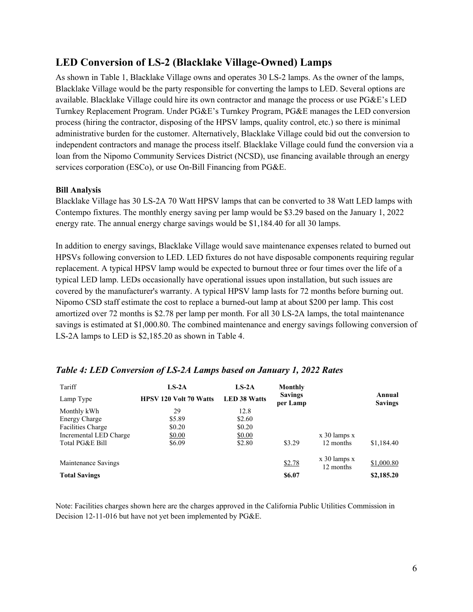## **LED Conversion of LS-2 (Blacklake Village-Owned) Lamps**

As shown in Table 1, Blacklake Village owns and operates 30 LS-2 lamps. As the owner of the lamps, Blacklake Village would be the party responsible for converting the lamps to LED. Several options are available. Blacklake Village could hire its own contractor and manage the process or use PG&E's LED Turnkey Replacement Program. Under PG&E's Turnkey Program, PG&E manages the LED conversion process (hiring the contractor, disposing of the HPSV lamps, quality control, etc.) so there is minimal administrative burden for the customer. Alternatively, Blacklake Village could bid out the conversion to independent contractors and manage the process itself. Blacklake Village could fund the conversion via a loan from the Nipomo Community Services District (NCSD), use financing available through an energy services corporation (ESCo), or use On-Bill Financing from PG&E.

#### **Bill Analysis**

Blacklake Village has 30 LS-2A 70 Watt HPSV lamps that can be converted to 38 Watt LED lamps with Contempo fixtures. The monthly energy saving per lamp would be \$3.29 based on the January 1, 2022 energy rate. The annual energy charge savings would be \$1,184.40 for all 30 lamps.

In addition to energy savings, Blacklake Village would save maintenance expenses related to burned out HPSVs following conversion to LED. LED fixtures do not have disposable components requiring regular replacement. A typical HPSV lamp would be expected to burnout three or four times over the life of a typical LED lamp. LEDs occasionally have operational issues upon installation, but such issues are covered by the manufacturer's warranty. A typical HPSV lamp lasts for 72 months before burning out. Nipomo CSD staff estimate the cost to replace a burned-out lamp at about \$200 per lamp. This cost amortized over 72 months is \$2.78 per lamp per month. For all 30 LS-2A lamps, the total maintenance savings is estimated at \$1,000.80. The combined maintenance and energy savings following conversion of LS-2A lamps to LED is \$2,185.20 as shown in Table 4.

| Tariff                   | $LS-2A$                       | $LS-2A$             | Monthly                    |                  |                          |
|--------------------------|-------------------------------|---------------------|----------------------------|------------------|--------------------------|
| Lamp Type                | <b>HPSV 120 Volt 70 Watts</b> | <b>LED 38 Watts</b> | <b>Savings</b><br>per Lamp |                  | Annual<br><b>Savings</b> |
| Monthly kWh              | 29                            | 12.8                |                            |                  |                          |
| <b>Energy Charge</b>     | \$5.89                        | \$2.60              |                            |                  |                          |
| <b>Facilities Charge</b> | \$0.20                        | \$0.20              |                            |                  |                          |
| Incremental LED Charge   | \$0.00                        | \$0.00              |                            | $x$ 30 lamps $x$ |                          |
| Total PG&E Bill          | \$6.09                        | \$2.80              | \$3.29                     | 12 months        | \$1,184.40               |
|                          |                               |                     |                            | $x$ 30 lamps $x$ |                          |
| Maintenance Savings      |                               |                     | \$2.78                     | 12 months        | \$1,000.80               |
| <b>Total Savings</b>     |                               |                     | \$6.07                     |                  | \$2,185.20               |

### *Table 4: LED Conversion of LS-2A Lamps based on January 1, 2022 Rates*

Note: Facilities charges shown here are the charges approved in the California Public Utilities Commission in Decision 12-11-016 but have not yet been implemented by PG&E.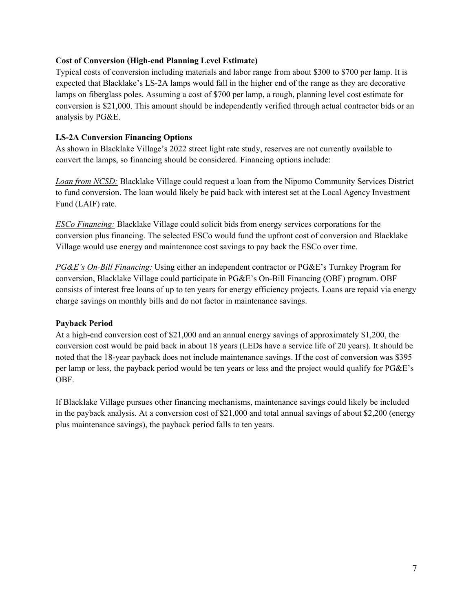#### **Cost of Conversion (High-end Planning Level Estimate)**

Typical costs of conversion including materials and labor range from about \$300 to \$700 per lamp. It is expected that Blacklake's LS-2A lamps would fall in the higher end of the range as they are decorative lamps on fiberglass poles. Assuming a cost of \$700 per lamp, a rough, planning level cost estimate for conversion is \$21,000. This amount should be independently verified through actual contractor bids or an analysis by PG&E.

#### **LS-2A Conversion Financing Options**

As shown in Blacklake Village's 2022 street light rate study, reserves are not currently available to convert the lamps, so financing should be considered. Financing options include:

*Loan from NCSD:* Blacklake Village could request a loan from the Nipomo Community Services District to fund conversion. The loan would likely be paid back with interest set at the Local Agency Investment Fund (LAIF) rate.

*ESCo Financing:* Blacklake Village could solicit bids from energy services corporations for the conversion plus financing. The selected ESCo would fund the upfront cost of conversion and Blacklake Village would use energy and maintenance cost savings to pay back the ESCo over time.

*PG&E's On-Bill Financing:* Using either an independent contractor or PG&E's Turnkey Program for conversion, Blacklake Village could participate in PG&E's On-Bill Financing (OBF) program. OBF consists of interest free loans of up to ten years for energy efficiency projects. Loans are repaid via energy charge savings on monthly bills and do not factor in maintenance savings.

#### **Payback Period**

At a high-end conversion cost of \$21,000 and an annual energy savings of approximately \$1,200, the conversion cost would be paid back in about 18 years (LEDs have a service life of 20 years). It should be noted that the 18-year payback does not include maintenance savings. If the cost of conversion was \$395 per lamp or less, the payback period would be ten years or less and the project would qualify for PG&E's OBF.

If Blacklake Village pursues other financing mechanisms, maintenance savings could likely be included in the payback analysis. At a conversion cost of \$21,000 and total annual savings of about \$2,200 (energy plus maintenance savings), the payback period falls to ten years.